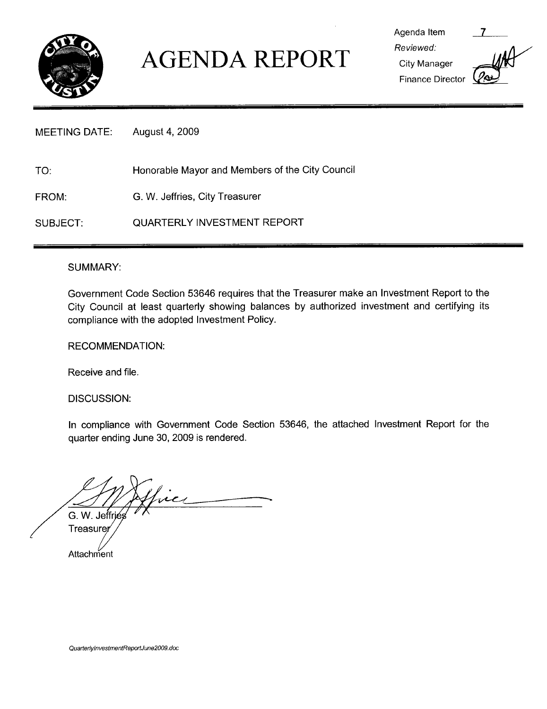

### AGENDA REPORT City Manager

Agenda Item 7 Reviewed Finance Director

#### MEETING DATE: August 4, 2009

TO: Honorable Mayor and Members of the City Council

FROM: G. W. Jeffries, City Treasurer

SUBJECT: QUARTERLY INVESTMENT REPORT

### SUMMARY

Government Code Section <sup>53646</sup> requires that the Treasurer make an Investment Report to the City Council at least quarterly showing balances by authorized investment and certifying its compliance with the adopted Investment Policy

### RECOMMENDATION

Receive and file

DISCUSSION:

In compliance with Government Code Section 53646, the attached Investment Report for the quarter ending June 30, 2009 is rendered.

 $\overline{\mathcal{L}}$ G. W. Jeffries

**Treasure Attachment**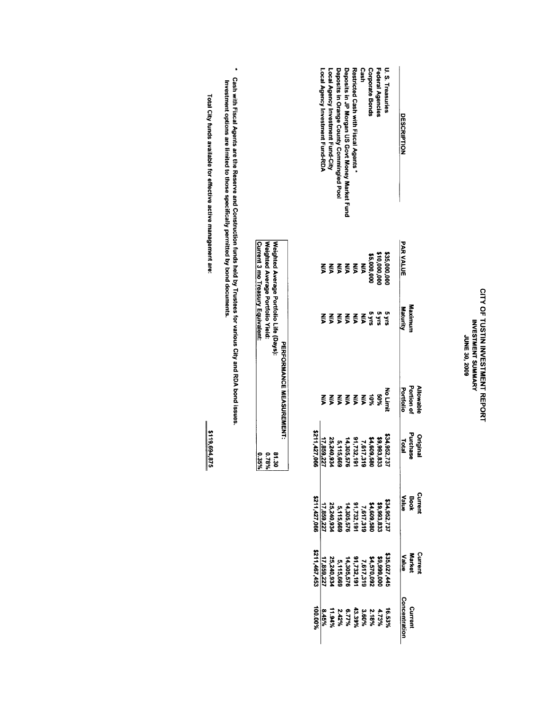# CITY OF TUSTIN INVESTMENT REPORT<br>INVESTMENT SUMMARY<br>JUNE 30, 2009

| U.S. Treasuries<br><b>DESCRIPTION</b>           | <b>PAR VALUE</b><br>\$35,000,00 | Maximun<br>Maturity<br>ង<br>ប្រកួត<br>ស្ថិ | Portion of<br>Allowable<br>Portiolio<br>No Limi | Purchase<br>Original<br>\$34,952,737<br><b>Total</b> | Curren<br>Book<br>Value | <b>Curren</b><br>Market<br>\$35,027,445<br>\$4,570,092<br>\$4,570,092<br>0,1,732,191<br>55,240,934<br>25,240,934<br>Value | Concentration<br>Curren<br>16.53%<br>4.73% %<br>4.73% % % %<br>4.73% % % % %<br>1.34% %<br>8.45% |
|-------------------------------------------------|---------------------------------|--------------------------------------------|-------------------------------------------------|------------------------------------------------------|-------------------------|---------------------------------------------------------------------------------------------------------------------------|--------------------------------------------------------------------------------------------------|
|                                                 |                                 |                                            |                                                 |                                                      |                         |                                                                                                                           |                                                                                                  |
| Federal Agencies                                | \$10,000,00                     |                                            |                                                 | \$9,993,833                                          |                         |                                                                                                                           |                                                                                                  |
| <b>Corporate Bonds</b>                          | \$5,000,000                     |                                            |                                                 | \$4,609,580                                          |                         |                                                                                                                           |                                                                                                  |
| Cash                                            |                                 | $\xi$                                      |                                                 | 7,617,319                                            |                         |                                                                                                                           |                                                                                                  |
| Restricted Cash Fiscal Agents*                  | $\frac{2}{5}$ $\frac{2}{5}$     | $\xi$                                      |                                                 | 91,732,191                                           |                         |                                                                                                                           |                                                                                                  |
| Deposits in JP Morgan US Govt Money Market Fund | $\frac{2}{3}$                   | $\frac{2}{5}$                              |                                                 | 14,305,576                                           |                         |                                                                                                                           |                                                                                                  |
| Deposits in Orange County Commingled Pool       | $\xi$                           | ξ                                          | 88855888                                        | 5,115,669                                            |                         |                                                                                                                           |                                                                                                  |
| Local Agency Investment Fund-City               | $\tilde{\mathbf{x}}$            | ⋚                                          | $\sum_{i=1}^{n}$                                | 25,240,934                                           |                         |                                                                                                                           |                                                                                                  |
| Local Agency Investment Fund-RDA                | ⋚                               |                                            |                                                 | 17,859,227                                           |                         | 17,859,22                                                                                                                 |                                                                                                  |
|                                                 |                                 |                                            |                                                 | \$211,427,066                                        | \$211,427,06t           | \$211,467,453                                                                                                             | 100.00%                                                                                          |

|        | Current 3 mo Treasury Equivalent.       |
|--------|-----------------------------------------|
| 1%82.0 | Weighted Average Portfolio Yield:       |
|        | Weighted Average Portfolio Life (Days): |
|        | PERFORMANCE NERVOLRENTI;                |

\* Cash with Fiscal Agents are the Reserve and Construction funds held by Trustees for various City and RDA bond issues.<br>Investment options are limited to those specifically permitted by bond documents.

Total City funds available for effective active management are:

\$119,694,875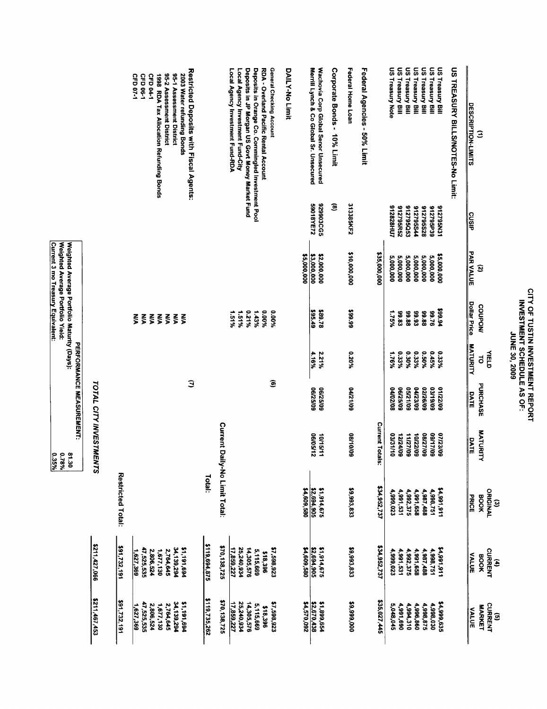## CITY OF TUSTIN INVESTMENT REPORT<br>INVESTMENT SCHEDULE AS OF: JUNE 30, 2009

E

G

Federal Home Loan US Treasury Bill US Treasury Bill US Treasury Bill US Treasury Bill Deposits in Orange Co. Commingled Investment Pool<br>Deposits in JP Morgan US Govt Money Market Fund Wachovia Corp Global Senor Unsecured<br>Merrill Lynch & Co Global Sr. Unsecured Corporate Bonds - 10% Limit Federal Agencies - 50% Limit **US Treasury Note** US Treasury Bill **US Treasury Bill** US TREASURY BILLS/NOTES-No Limit: RDA - Overland Pacific Rental Account General Checking Account **DAILY-No Limit** Restricted Deposits with Fiscal Agents: Local Agency Investment Fund-RDA Local Agency Investment Fund-City CFD 07-1 CFD 06-1 CFD<sub>04-1</sub> 1998 RDA Tax Allocation Refunding Bonds 95-2 Assessment District 95-1 Assessment District 2003 Water refunding Bonds DESCRIPTION-LIMITS Э 829903CG5  $\widehat{\mathbf{e}}$ 313385KF2 59018YE72 812795Q53 S12828HU7 912795R52 912795544 842795S28 912795P39 912795N31 cusip **PAR VALUE** \$2,000,000<br>\$3,000,000 \$10,000,000 \$35,000,000 5,000,000<br>5,000,000 5,000,000<br>5,000,000 \$5,000,000 5,000,000 5,000,000 \$5,000,000  $\mathbf{S}$ **Dollar Price** COUPON/ 199.94 \$95.49<br>\$95.49 66'66\$ 1.51% 921% %00'0 %00°0 1.75% 99.88<br>99.83 92'66 1.51% 1.43% 86.93 88.88  $555555$ **MATURITY** %020 %09'0 2.21%<br>4.16%  $0.33\%$ <br> $0.30\%$ 0.45% **VIELD** 0.33% 1.76%  $\vec{c}$  $\widehat{\mathbf{e}}$ Э **TOTAL CITY INVESTMENTS** PURCHASE **06/25/09**<br>06/25/09 05/21/09<br>06/25/09 04/21/09 03/19/09 01122/09 04/02/08 04/23/09 02/26/09 DATE Current Daily-No Limit Total: Current Totals: MATURITY 10/15/11<br>06/05/12 11/27/09 60/01/80 03/31/10 08/27/09 09/17/09 07/23/09 10/22/09 DATE Restricted Total: Total: \$1,914,675<br>\$2,694,905<br>\$4,609,580 (3)<br>ORIGINAL<br>BOOK \$34,952,737 \$9,993,833 116'166'15 4,991,531 4,991,658 4,999,023 4,992,375 4,987,488 4,998,751 **PRICE** \$211,427,066 \$91,732,191 \$119,694,875 \$1,914,675<br><u>\$2,694,905</u><br>\$4,609,580 \$70,138,725 \$34,952,737 4,991,531 **CURRENT**<br>CURRENT 2,764,645<br>1,677,130 47,525,535 17,859,227 25,240,934 \$7,598,923 \$9,993,833 14,991,911 2,806,524 34,139,294 \$1,191,694 14,305,576 5,115,669 4,999,023 4,991,658 4,998,751 4,992,375 4,987,488  $1,627,369$ \$18,396 **VALUE** \$211,467,453 \$119,735,262 \$1,899,654<br>\$2,670,438  $291,732,191$ \$70,138,725 \$9,999,000 \$35,027,445 47,525,535 34,139,294 51,191,694 17,859,227 25,240,934 14,305,576 5,115,669 \$7,598,923 \$4,570,092 4,991,690 \$4,999,635 CURRENT 2,806,524 1,677,130 2,764,645 5,048,045 4,994,310 4,996,860 4,998,875 4,998,030 \$18,396 **MARKET**  $1,627,369$ **VALUE** 

Weighted Average Portfolio Maturity (Days):<br>Weighted Average Portfolio Yield: **Current 3 mo Treasury Equivalent:** PERFORMANCE MEASUREMENT:  $0.35\%$ 9.78% 81.30